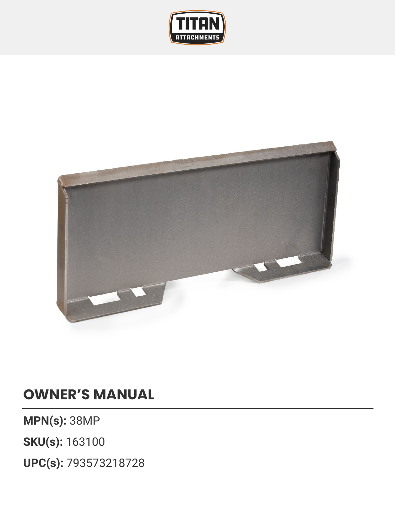



## **OWNER'S MANUAL**

**MPN(s):** 38MP

**SKU(s):** 163100

**UPC(s):** 793573218728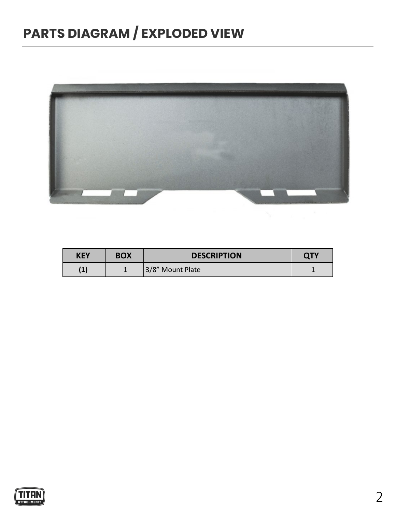## **PARTS DIAGRAM / EXPLODED VIEW**



| <b>KEY</b> | <b>BOX</b> | <b>DESCRIPTION</b> | <b>QTY</b> |
|------------|------------|--------------------|------------|
| l – J      |            | 3/8" Mount Plate   |            |